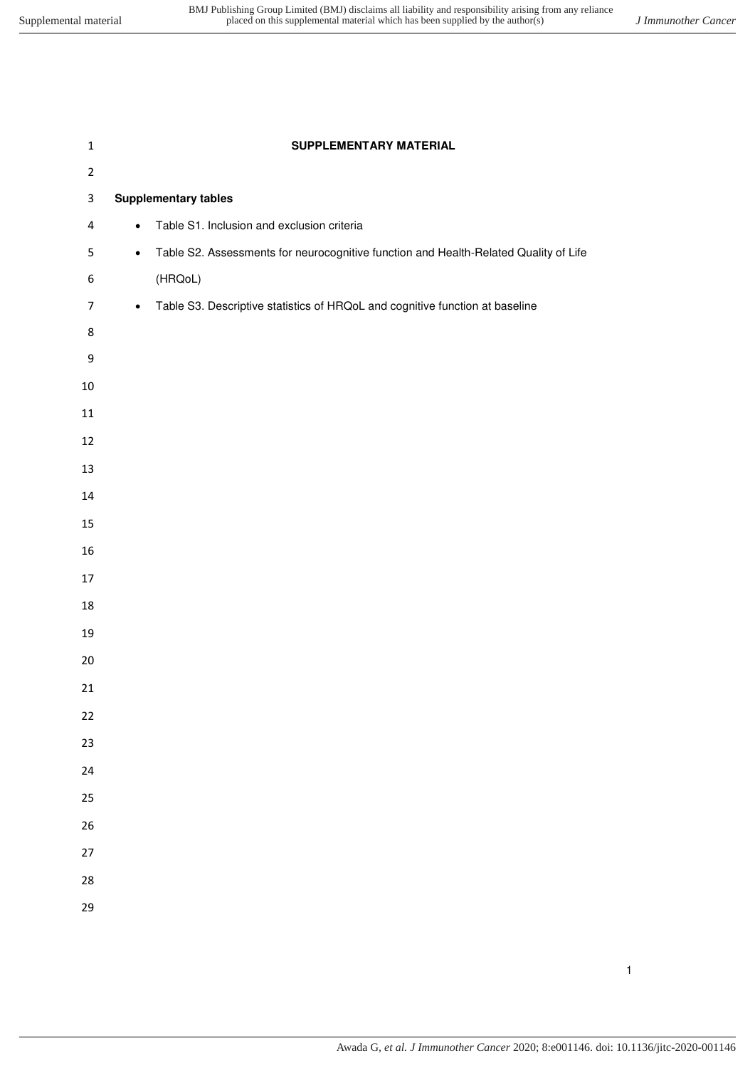| SUPPLEMENTARY MATERIAL                                                                            |  |  |  |
|---------------------------------------------------------------------------------------------------|--|--|--|
|                                                                                                   |  |  |  |
| <b>Supplementary tables</b><br>$\mathsf 3$                                                        |  |  |  |
| Table S1. Inclusion and exclusion criteria<br>$\bullet$                                           |  |  |  |
| Table S2. Assessments for neurocognitive function and Health-Related Quality of Life<br>$\bullet$ |  |  |  |
| (HRQoL)                                                                                           |  |  |  |
| Table S3. Descriptive statistics of HRQoL and cognitive function at baseline<br>$\bullet$         |  |  |  |
|                                                                                                   |  |  |  |
|                                                                                                   |  |  |  |
|                                                                                                   |  |  |  |
|                                                                                                   |  |  |  |
|                                                                                                   |  |  |  |
|                                                                                                   |  |  |  |
|                                                                                                   |  |  |  |
|                                                                                                   |  |  |  |
|                                                                                                   |  |  |  |
|                                                                                                   |  |  |  |
|                                                                                                   |  |  |  |
|                                                                                                   |  |  |  |
|                                                                                                   |  |  |  |
|                                                                                                   |  |  |  |
|                                                                                                   |  |  |  |
|                                                                                                   |  |  |  |
|                                                                                                   |  |  |  |
|                                                                                                   |  |  |  |
|                                                                                                   |  |  |  |
|                                                                                                   |  |  |  |
|                                                                                                   |  |  |  |
|                                                                                                   |  |  |  |
|                                                                                                   |  |  |  |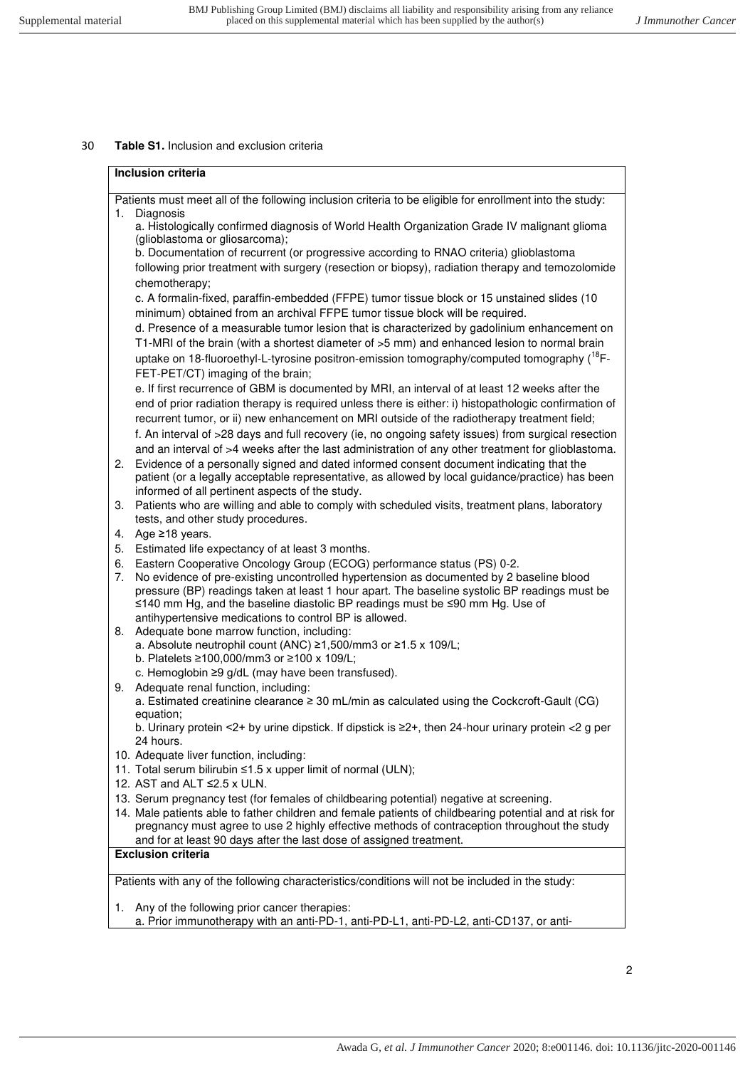## 30 **Table S1.** Inclusion and exclusion criteria

| <b>Inclusion criteria</b> |                                                                                                                                                                                                                                                                                                                                                                                                              |  |  |
|---------------------------|--------------------------------------------------------------------------------------------------------------------------------------------------------------------------------------------------------------------------------------------------------------------------------------------------------------------------------------------------------------------------------------------------------------|--|--|
|                           | Patients must meet all of the following inclusion criteria to be eligible for enrollment into the study:                                                                                                                                                                                                                                                                                                     |  |  |
|                           | 1. Diagnosis                                                                                                                                                                                                                                                                                                                                                                                                 |  |  |
|                           | a. Histologically confirmed diagnosis of World Health Organization Grade IV malignant glioma<br>(glioblastoma or gliosarcoma);                                                                                                                                                                                                                                                                               |  |  |
|                           | b. Documentation of recurrent (or progressive according to RNAO criteria) glioblastoma                                                                                                                                                                                                                                                                                                                       |  |  |
|                           | following prior treatment with surgery (resection or biopsy), radiation therapy and temozolomide<br>chemotherapy;                                                                                                                                                                                                                                                                                            |  |  |
|                           | c. A formalin-fixed, paraffin-embedded (FFPE) tumor tissue block or 15 unstained slides (10                                                                                                                                                                                                                                                                                                                  |  |  |
|                           | minimum) obtained from an archival FFPE tumor tissue block will be required.<br>d. Presence of a measurable tumor lesion that is characterized by gadolinium enhancement on<br>T1-MRI of the brain (with a shortest diameter of >5 mm) and enhanced lesion to normal brain                                                                                                                                   |  |  |
|                           | uptake on 18-fluoroethyl-L-tyrosine positron-emission tomography/computed tomography ( <sup>18</sup> F-<br>FET-PET/CT) imaging of the brain;                                                                                                                                                                                                                                                                 |  |  |
|                           | e. If first recurrence of GBM is documented by MRI, an interval of at least 12 weeks after the                                                                                                                                                                                                                                                                                                               |  |  |
|                           | end of prior radiation therapy is required unless there is either: i) histopathologic confirmation of<br>recurrent tumor, or ii) new enhancement on MRI outside of the radiotherapy treatment field;                                                                                                                                                                                                         |  |  |
|                           | f. An interval of >28 days and full recovery (ie, no ongoing safety issues) from surgical resection                                                                                                                                                                                                                                                                                                          |  |  |
|                           | and an interval of >4 weeks after the last administration of any other treatment for glioblastoma.                                                                                                                                                                                                                                                                                                           |  |  |
| 2.                        | Evidence of a personally signed and dated informed consent document indicating that the                                                                                                                                                                                                                                                                                                                      |  |  |
|                           | patient (or a legally acceptable representative, as allowed by local guidance/practice) has been                                                                                                                                                                                                                                                                                                             |  |  |
|                           | informed of all pertinent aspects of the study.                                                                                                                                                                                                                                                                                                                                                              |  |  |
| 3.                        | Patients who are willing and able to comply with scheduled visits, treatment plans, laboratory                                                                                                                                                                                                                                                                                                               |  |  |
|                           | tests, and other study procedures.                                                                                                                                                                                                                                                                                                                                                                           |  |  |
| 4.                        | Age $\geq$ 18 years.                                                                                                                                                                                                                                                                                                                                                                                         |  |  |
| 5.                        | Estimated life expectancy of at least 3 months.                                                                                                                                                                                                                                                                                                                                                              |  |  |
| 6.<br>7.                  | Eastern Cooperative Oncology Group (ECOG) performance status (PS) 0-2.<br>No evidence of pre-existing uncontrolled hypertension as documented by 2 baseline blood<br>pressure (BP) readings taken at least 1 hour apart. The baseline systolic BP readings must be<br>≤140 mm Hg, and the baseline diastolic BP readings must be ≤90 mm Hg. Use of<br>antihypertensive medications to control BP is allowed. |  |  |
| 8.                        | Adequate bone marrow function, including:                                                                                                                                                                                                                                                                                                                                                                    |  |  |
|                           | a. Absolute neutrophil count (ANC) ≥1,500/mm3 or ≥1.5 x 109/L;                                                                                                                                                                                                                                                                                                                                               |  |  |
|                           | b. Platelets ≥100,000/mm3 or ≥100 x 109/L;                                                                                                                                                                                                                                                                                                                                                                   |  |  |
|                           | c. Hemoglobin ≥9 g/dL (may have been transfused).                                                                                                                                                                                                                                                                                                                                                            |  |  |
| 9.                        | Adequate renal function, including:<br>a. Estimated creatinine clearance $\geq 30$ mL/min as calculated using the Cockcroft-Gault (CG)                                                                                                                                                                                                                                                                       |  |  |
|                           | equation;                                                                                                                                                                                                                                                                                                                                                                                                    |  |  |
|                           | b. Urinary protein <2+ by urine dipstick. If dipstick is ≥2+, then 24-hour urinary protein <2 g per<br>24 hours.                                                                                                                                                                                                                                                                                             |  |  |
|                           | 10. Adequate liver function, including:                                                                                                                                                                                                                                                                                                                                                                      |  |  |
|                           | 11. Total serum bilirubin ≤1.5 x upper limit of normal (ULN);                                                                                                                                                                                                                                                                                                                                                |  |  |
|                           | 12. AST and ALT ≤2.5 x ULN.                                                                                                                                                                                                                                                                                                                                                                                  |  |  |
|                           | 13. Serum pregnancy test (for females of childbearing potential) negative at screening.<br>14. Male patients able to father children and female patients of childbearing potential and at risk for                                                                                                                                                                                                           |  |  |
|                           | pregnancy must agree to use 2 highly effective methods of contraception throughout the study<br>and for at least 90 days after the last dose of assigned treatment.                                                                                                                                                                                                                                          |  |  |
|                           | <b>Exclusion criteria</b>                                                                                                                                                                                                                                                                                                                                                                                    |  |  |
|                           | Patients with any of the following characteristics/conditions will not be included in the study:                                                                                                                                                                                                                                                                                                             |  |  |
| 1.                        | Any of the following prior cancer therapies:                                                                                                                                                                                                                                                                                                                                                                 |  |  |
|                           | a. Prior immunotherapy with an anti-PD-1, anti-PD-L1, anti-PD-L2, anti-CD137, or anti-                                                                                                                                                                                                                                                                                                                       |  |  |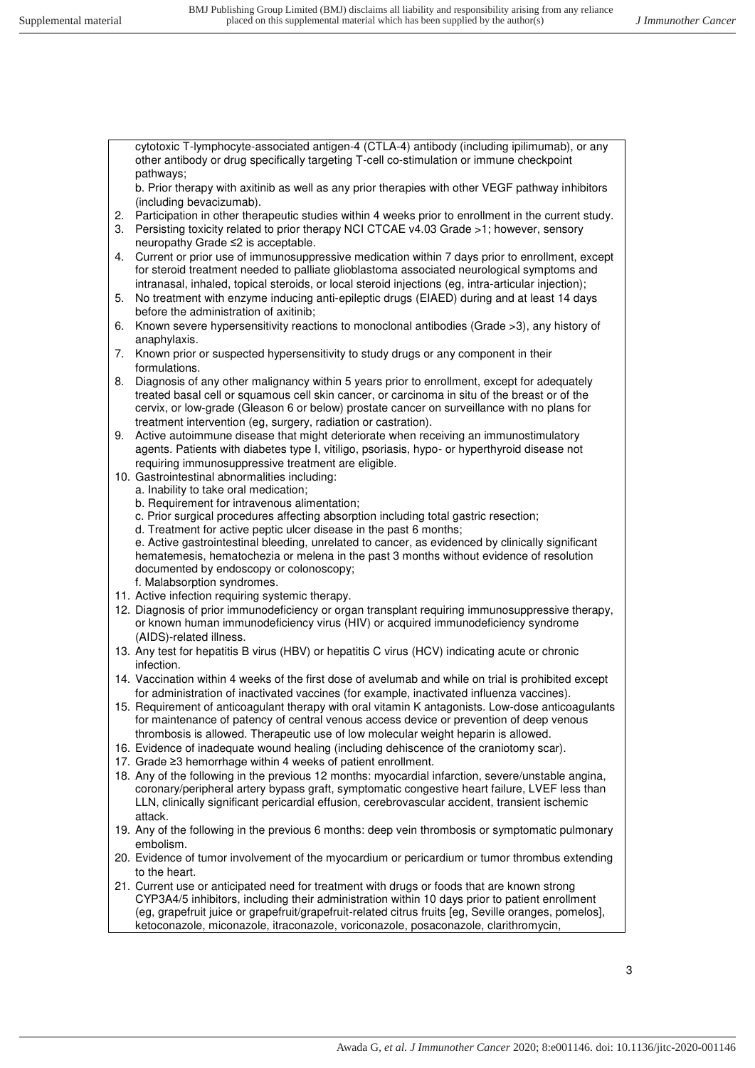cytotoxic T-lymphocyte-associated antigen-4 (CTLA-4) antibody (including ipilimumab), or any other antibody or drug specifically targeting T-cell co-stimulation or immune checkpoint pathways;

b. Prior therapy with axitinib as well as any prior therapies with other VEGF pathway inhibitors (including bevacizumab).

- 2. Participation in other therapeutic studies within 4 weeks prior to enrollment in the current study.
- 3. Persisting toxicity related to prior therapy NCI CTCAE v4.03 Grade >1; however, sensory neuropathy Grade ≤2 is acceptable.
- 4. Current or prior use of immunosuppressive medication within 7 days prior to enrollment, except for steroid treatment needed to palliate glioblastoma associated neurological symptoms and intranasal, inhaled, topical steroids, or local steroid injections (eg, intra-articular injection);
- 5. No treatment with enzyme inducing anti-epileptic drugs (EIAED) during and at least 14 days before the administration of axitinib;
- 6. Known severe hypersensitivity reactions to monoclonal antibodies (Grade >3), any history of anaphylaxis.
- 7. Known prior or suspected hypersensitivity to study drugs or any component in their formulations.
- 8. Diagnosis of any other malignancy within 5 years prior to enrollment, except for adequately treated basal cell or squamous cell skin cancer, or carcinoma in situ of the breast or of the cervix, or low-grade (Gleason 6 or below) prostate cancer on surveillance with no plans for treatment intervention (eg, surgery, radiation or castration).
- 9. Active autoimmune disease that might deteriorate when receiving an immunostimulatory agents. Patients with diabetes type I, vitiligo, psoriasis, hypo- or hyperthyroid disease not requiring immunosuppressive treatment are eligible.
- 10. Gastrointestinal abnormalities including:
	- a. Inability to take oral medication;
	- b. Requirement for intravenous alimentation;
	- c. Prior surgical procedures affecting absorption including total gastric resection;
	- d. Treatment for active peptic ulcer disease in the past 6 months;

e. Active gastrointestinal bleeding, unrelated to cancer, as evidenced by clinically significant hematemesis, hematochezia or melena in the past 3 months without evidence of resolution documented by endoscopy or colonoscopy;

- f. Malabsorption syndromes.
- 11. Active infection requiring systemic therapy.
- 12. Diagnosis of prior immunodeficiency or organ transplant requiring immunosuppressive therapy, or known human immunodeficiency virus (HIV) or acquired immunodeficiency syndrome (AIDS)-related illness.
- 13. Any test for hepatitis B virus (HBV) or hepatitis C virus (HCV) indicating acute or chronic infection.
- 14. Vaccination within 4 weeks of the first dose of avelumab and while on trial is prohibited except for administration of inactivated vaccines (for example, inactivated influenza vaccines).
- 15. Requirement of anticoagulant therapy with oral vitamin K antagonists. Low-dose anticoagulants for maintenance of patency of central venous access device or prevention of deep venous thrombosis is allowed. Therapeutic use of low molecular weight heparin is allowed.
- 16. Evidence of inadequate wound healing (including dehiscence of the craniotomy scar).
- 17. Grade ≥3 hemorrhage within 4 weeks of patient enrollment.
- 18. Any of the following in the previous 12 months: myocardial infarction, severe/unstable angina, coronary/peripheral artery bypass graft, symptomatic congestive heart failure, LVEF less than LLN, clinically significant pericardial effusion, cerebrovascular accident, transient ischemic attack.
- 19. Any of the following in the previous 6 months: deep vein thrombosis or symptomatic pulmonary embolism.
- 20. Evidence of tumor involvement of the myocardium or pericardium or tumor thrombus extending to the heart.
- 21. Current use or anticipated need for treatment with drugs or foods that are known strong CYP3A4/5 inhibitors, including their administration within 10 days prior to patient enrollment (eg, grapefruit juice or grapefruit/grapefruit-related citrus fruits [eg, Seville oranges, pomelos], ketoconazole, miconazole, itraconazole, voriconazole, posaconazole, clarithromycin,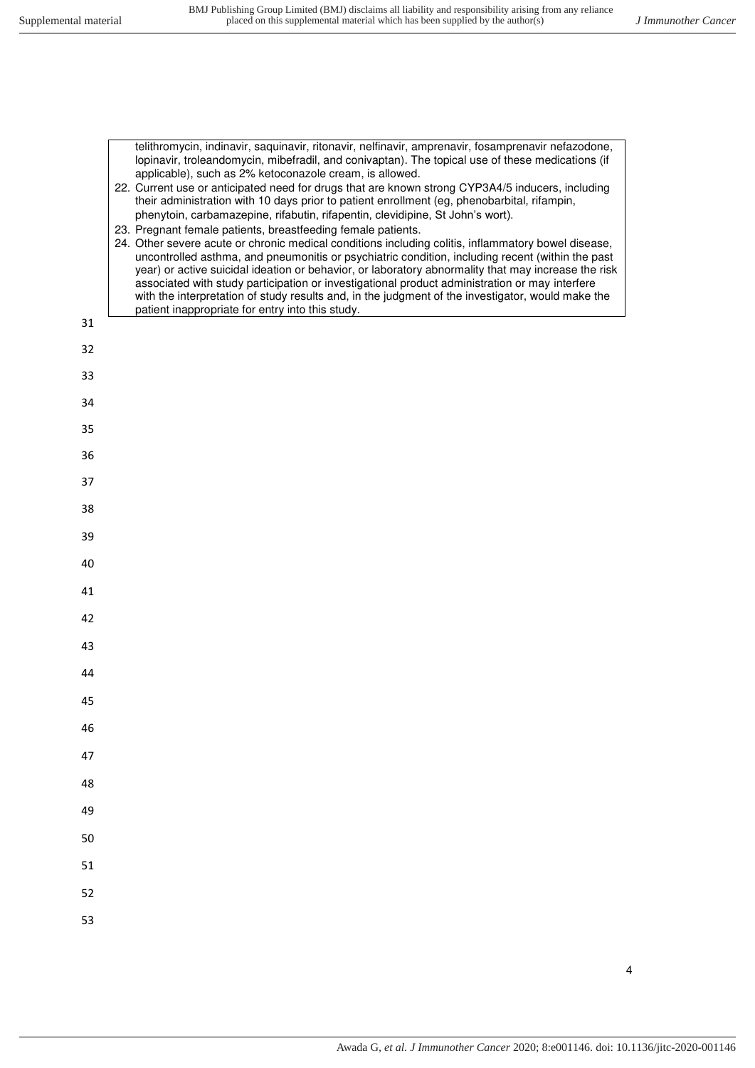|    | telithromycin, indinavir, saquinavir, ritonavir, nelfinavir, amprenavir, fosamprenavir nefazodone,<br>lopinavir, troleandomycin, mibefradil, and conivaptan). The topical use of these medications (if<br>applicable), such as 2% ketoconazole cream, is allowed.<br>22. Current use or anticipated need for drugs that are known strong CYP3A4/5 inducers, including<br>their administration with 10 days prior to patient enrollment (eg, phenobarbital, rifampin,<br>phenytoin, carbamazepine, rifabutin, rifapentin, clevidipine, St John's wort).<br>23. Pregnant female patients, breastfeeding female patients.<br>24. Other severe acute or chronic medical conditions including colitis, inflammatory bowel disease,<br>uncontrolled asthma, and pneumonitis or psychiatric condition, including recent (within the past<br>year) or active suicidal ideation or behavior, or laboratory abnormality that may increase the risk<br>associated with study participation or investigational product administration or may interfere<br>with the interpretation of study results and, in the judgment of the investigator, would make the |
|----|-------------------------------------------------------------------------------------------------------------------------------------------------------------------------------------------------------------------------------------------------------------------------------------------------------------------------------------------------------------------------------------------------------------------------------------------------------------------------------------------------------------------------------------------------------------------------------------------------------------------------------------------------------------------------------------------------------------------------------------------------------------------------------------------------------------------------------------------------------------------------------------------------------------------------------------------------------------------------------------------------------------------------------------------------------------------------------------------------------------------------------------------------|
| 31 | patient inappropriate for entry into this study.                                                                                                                                                                                                                                                                                                                                                                                                                                                                                                                                                                                                                                                                                                                                                                                                                                                                                                                                                                                                                                                                                                |
| 32 |                                                                                                                                                                                                                                                                                                                                                                                                                                                                                                                                                                                                                                                                                                                                                                                                                                                                                                                                                                                                                                                                                                                                                 |
| 33 |                                                                                                                                                                                                                                                                                                                                                                                                                                                                                                                                                                                                                                                                                                                                                                                                                                                                                                                                                                                                                                                                                                                                                 |
| 34 |                                                                                                                                                                                                                                                                                                                                                                                                                                                                                                                                                                                                                                                                                                                                                                                                                                                                                                                                                                                                                                                                                                                                                 |
| 35 |                                                                                                                                                                                                                                                                                                                                                                                                                                                                                                                                                                                                                                                                                                                                                                                                                                                                                                                                                                                                                                                                                                                                                 |
| 36 |                                                                                                                                                                                                                                                                                                                                                                                                                                                                                                                                                                                                                                                                                                                                                                                                                                                                                                                                                                                                                                                                                                                                                 |
| 37 |                                                                                                                                                                                                                                                                                                                                                                                                                                                                                                                                                                                                                                                                                                                                                                                                                                                                                                                                                                                                                                                                                                                                                 |
| 38 |                                                                                                                                                                                                                                                                                                                                                                                                                                                                                                                                                                                                                                                                                                                                                                                                                                                                                                                                                                                                                                                                                                                                                 |
| 39 |                                                                                                                                                                                                                                                                                                                                                                                                                                                                                                                                                                                                                                                                                                                                                                                                                                                                                                                                                                                                                                                                                                                                                 |
| 40 |                                                                                                                                                                                                                                                                                                                                                                                                                                                                                                                                                                                                                                                                                                                                                                                                                                                                                                                                                                                                                                                                                                                                                 |
| 41 |                                                                                                                                                                                                                                                                                                                                                                                                                                                                                                                                                                                                                                                                                                                                                                                                                                                                                                                                                                                                                                                                                                                                                 |
| 42 |                                                                                                                                                                                                                                                                                                                                                                                                                                                                                                                                                                                                                                                                                                                                                                                                                                                                                                                                                                                                                                                                                                                                                 |
| 43 |                                                                                                                                                                                                                                                                                                                                                                                                                                                                                                                                                                                                                                                                                                                                                                                                                                                                                                                                                                                                                                                                                                                                                 |
| 44 |                                                                                                                                                                                                                                                                                                                                                                                                                                                                                                                                                                                                                                                                                                                                                                                                                                                                                                                                                                                                                                                                                                                                                 |
| 45 |                                                                                                                                                                                                                                                                                                                                                                                                                                                                                                                                                                                                                                                                                                                                                                                                                                                                                                                                                                                                                                                                                                                                                 |
| 46 |                                                                                                                                                                                                                                                                                                                                                                                                                                                                                                                                                                                                                                                                                                                                                                                                                                                                                                                                                                                                                                                                                                                                                 |
| 47 |                                                                                                                                                                                                                                                                                                                                                                                                                                                                                                                                                                                                                                                                                                                                                                                                                                                                                                                                                                                                                                                                                                                                                 |
| 48 |                                                                                                                                                                                                                                                                                                                                                                                                                                                                                                                                                                                                                                                                                                                                                                                                                                                                                                                                                                                                                                                                                                                                                 |
| 49 |                                                                                                                                                                                                                                                                                                                                                                                                                                                                                                                                                                                                                                                                                                                                                                                                                                                                                                                                                                                                                                                                                                                                                 |
| 50 |                                                                                                                                                                                                                                                                                                                                                                                                                                                                                                                                                                                                                                                                                                                                                                                                                                                                                                                                                                                                                                                                                                                                                 |
| 51 |                                                                                                                                                                                                                                                                                                                                                                                                                                                                                                                                                                                                                                                                                                                                                                                                                                                                                                                                                                                                                                                                                                                                                 |
| 52 |                                                                                                                                                                                                                                                                                                                                                                                                                                                                                                                                                                                                                                                                                                                                                                                                                                                                                                                                                                                                                                                                                                                                                 |
| 53 |                                                                                                                                                                                                                                                                                                                                                                                                                                                                                                                                                                                                                                                                                                                                                                                                                                                                                                                                                                                                                                                                                                                                                 |

4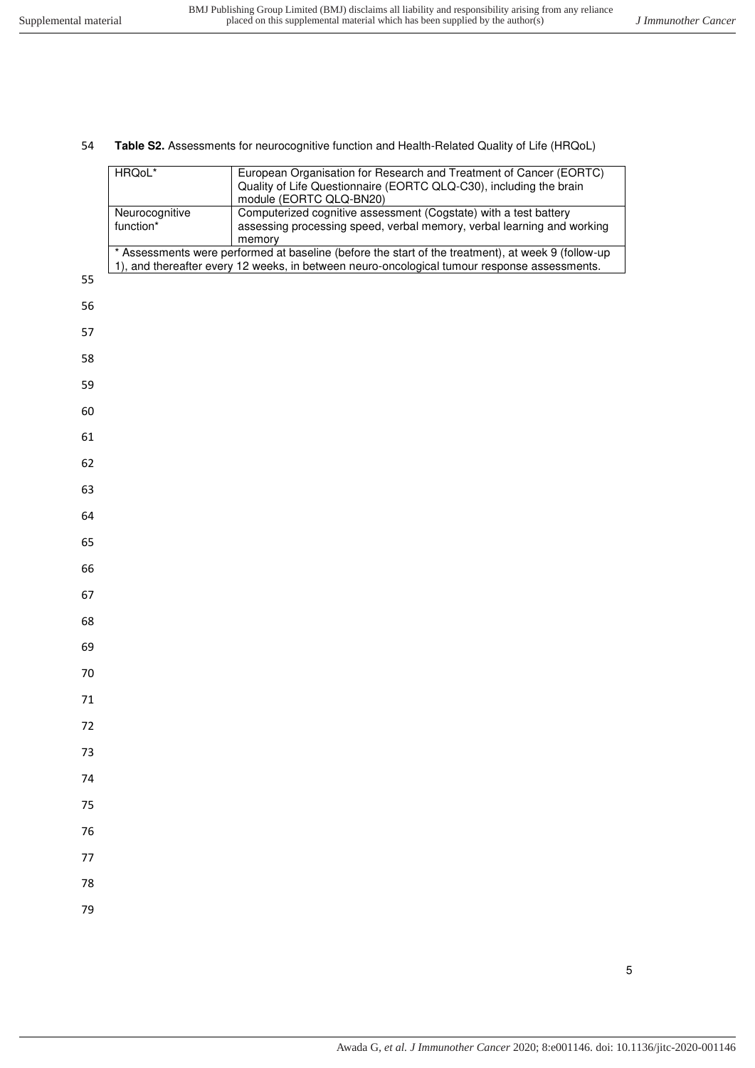## **Table S2.** Assessments for neurocognitive function and Health-Related Quality of Life (HRQoL)

| HRQoL*         | European Organisation for Research and Treatment of Cancer (EORTC)                                 |
|----------------|----------------------------------------------------------------------------------------------------|
|                | Quality of Life Questionnaire (EORTC QLQ-C30), including the brain                                 |
|                | module (EORTC QLQ-BN20)                                                                            |
| Neurocognitive | Computerized cognitive assessment (Cogstate) with a test battery                                   |
| function*      | assessing processing speed, verbal memory, verbal learning and working                             |
|                | memory                                                                                             |
|                | * Assessments were performed at baseline (before the start of the treatment), at week 9 (follow-up |
|                | 1), and thereafter every 12 weeks, in between neuro-oncological tumour response assessments.       |

|    | ļ |
|----|---|
| 55 |   |
| 56 |   |
| 57 |   |
| 58 |   |
| 59 |   |
| 60 |   |
| 61 |   |
| 62 |   |
| 63 |   |
| 64 |   |
| 65 |   |
| 66 |   |
| 67 |   |
| 68 |   |
| 69 |   |
| 70 |   |
| 71 |   |
| 72 |   |
| 73 |   |
| 74 |   |
| 75 |   |
| 76 |   |
| 77 |   |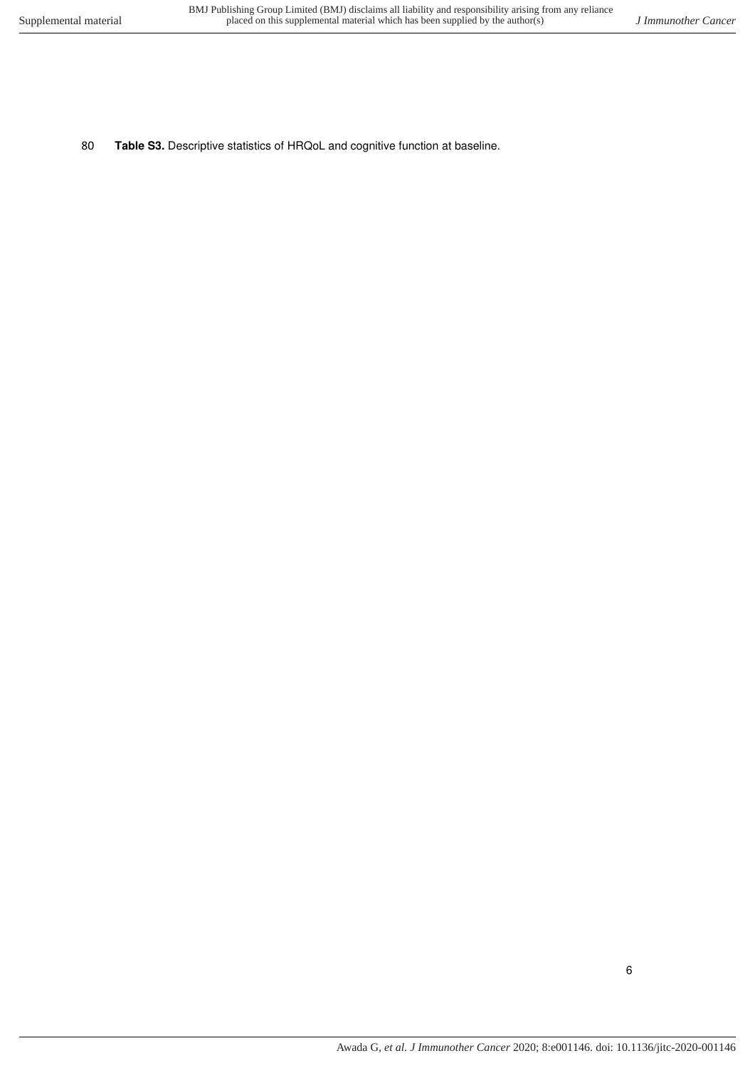80 **Table S3.** Descriptive statistics of HRQoL and cognitive function at baseline.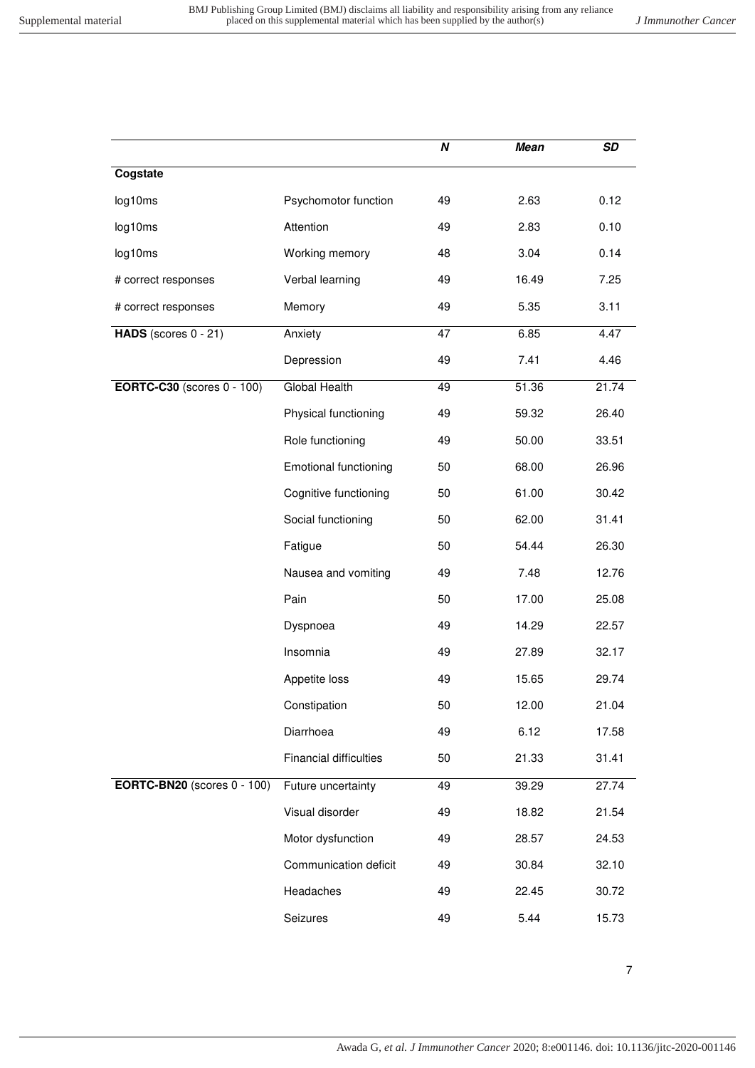|                                    |                               | N  | <b>Mean</b> | SD    |
|------------------------------------|-------------------------------|----|-------------|-------|
| Cogstate                           |                               |    |             |       |
| log10ms                            | Psychomotor function          | 49 | 2.63        | 0.12  |
| log10ms                            | Attention                     | 49 | 2.83        | 0.10  |
| log10ms                            | Working memory                | 48 | 3.04        | 0.14  |
| # correct responses                | Verbal learning               | 49 | 16.49       | 7.25  |
| # correct responses                | Memory                        | 49 | 5.35        | 3.11  |
| HADS (scores $0 - 21$ )            | Anxiety                       | 47 | 6.85        | 4.47  |
|                                    | Depression                    | 49 | 7.41        | 4.46  |
| <b>EORTC-C30</b> (scores 0 - 100)  | <b>Global Health</b>          | 49 | 51.36       | 21.74 |
|                                    | Physical functioning          | 49 | 59.32       | 26.40 |
|                                    | Role functioning              | 49 | 50.00       | 33.51 |
|                                    | <b>Emotional functioning</b>  | 50 | 68.00       | 26.96 |
|                                    | Cognitive functioning         | 50 | 61.00       | 30.42 |
|                                    | Social functioning            | 50 | 62.00       | 31.41 |
|                                    | Fatigue                       | 50 | 54.44       | 26.30 |
|                                    | Nausea and vomiting           | 49 | 7.48        | 12.76 |
|                                    | Pain                          | 50 | 17.00       | 25.08 |
|                                    | Dyspnoea                      | 49 | 14.29       | 22.57 |
|                                    | Insomnia                      | 49 | 27.89       | 32.17 |
|                                    | Appetite loss                 | 49 | 15.65       | 29.74 |
|                                    | Constipation                  | 50 | 12.00       | 21.04 |
|                                    | Diarrhoea                     | 49 | 6.12        | 17.58 |
|                                    | <b>Financial difficulties</b> | 50 | 21.33       | 31.41 |
| <b>EORTC-BN20</b> (scores 0 - 100) | Future uncertainty            | 49 | 39.29       | 27.74 |
|                                    | Visual disorder               | 49 | 18.82       | 21.54 |
|                                    | Motor dysfunction             | 49 | 28.57       | 24.53 |
|                                    | Communication deficit         | 49 | 30.84       | 32.10 |
|                                    | Headaches                     | 49 | 22.45       | 30.72 |
|                                    | Seizures                      | 49 | 5.44        | 15.73 |